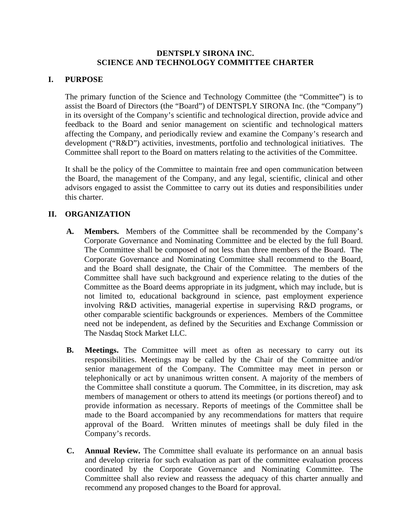## **DENTSPLY SIRONA INC. SCIENCE AND TECHNOLOGY COMMITTEE CHARTER**

## **I. PURPOSE**

The primary function of the Science and Technology Committee (the "Committee") is to assist the Board of Directors (the "Board") of DENTSPLY SIRONA Inc. (the "Company") in its oversight of the Company's scientific and technological direction, provide advice and feedback to the Board and senior management on scientific and technological matters affecting the Company, and periodically review and examine the Company's research and development ("R&D") activities, investments, portfolio and technological initiatives. The Committee shall report to the Board on matters relating to the activities of the Committee.

It shall be the policy of the Committee to maintain free and open communication between the Board, the management of the Company, and any legal, scientific, clinical and other advisors engaged to assist the Committee to carry out its duties and responsibilities under this charter.

## **II. ORGANIZATION**

- **A. Members.** Members of the Committee shall be recommended by the Company's Corporate Governance and Nominating Committee and be elected by the full Board. The Committee shall be composed of not less than three members of the Board. The Corporate Governance and Nominating Committee shall recommend to the Board, and the Board shall designate, the Chair of the Committee. The members of the Committee shall have such background and experience relating to the duties of the Committee as the Board deems appropriate in its judgment, which may include, but is not limited to, educational background in science, past employment experience involving R&D activities, managerial expertise in supervising R&D programs, or other comparable scientific backgrounds or experiences. Members of the Committee need not be independent, as defined by the Securities and Exchange Commission or The Nasdaq Stock Market LLC.
- **B. Meetings.** The Committee will meet as often as necessary to carry out its responsibilities. Meetings may be called by the Chair of the Committee and/or senior management of the Company. The Committee may meet in person or telephonically or act by unanimous written consent. A majority of the members of the Committee shall constitute a quorum. The Committee, in its discretion, may ask members of management or others to attend its meetings (or portions thereof) and to provide information as necessary. Reports of meetings of the Committee shall be made to the Board accompanied by any recommendations for matters that require approval of the Board. Written minutes of meetings shall be duly filed in the Company's records.
- **C. Annual Review.** The Committee shall evaluate its performance on an annual basis and develop criteria for such evaluation as part of the committee evaluation process coordinated by the Corporate Governance and Nominating Committee. The Committee shall also review and reassess the adequacy of this charter annually and recommend any proposed changes to the Board for approval.